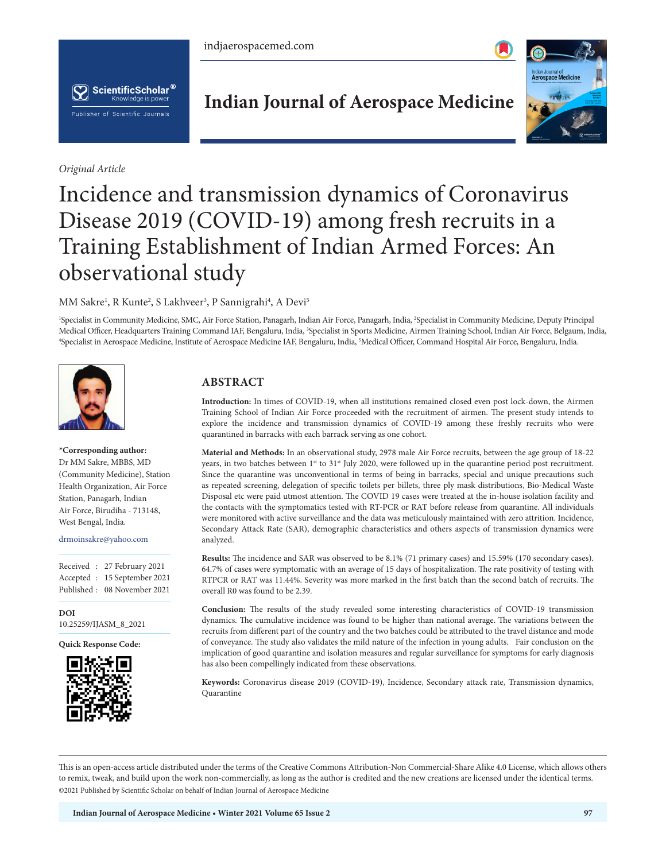



*Original Article*

# **Indian Journal of Aerospace Medicine**



# Incidence and transmission dynamics of Coronavirus Disease 2019 (COVID-19) among fresh recruits in a Training Establishment of Indian Armed Forces: An observational study

MM Sakre<sup>1</sup>, R Kunte<sup>2</sup>, S Lakhveer<sup>3</sup>, P Sannigrahi<sup>4</sup>, A Devi<sup>5</sup>

1 Specialist in Community Medicine, SMC, Air Force Station, Panagarh, Indian Air Force, Panagarh, India, 2 Specialist in Community Medicine, Deputy Principal Medical Officer, Headquarters Training Command IAF, Bengaluru, India, <sup>3</sup>Specialist in Sports Medicine, Airmen Training School, Indian Air Force, Belgaum, India,<br><sup>4</sup>Specialist in Aerospace Medicine Institute of Aerospace M Specialist in Aerospace Medicine, Institute of Aerospace Medicine IAF, Bengaluru, India, 5 Medical Officer, Command Hospital Air Force, Bengaluru, India.



# **\*Corresponding author:**

Dr MM Sakre, MBBS, MD (Community Medicine), Station Health Organization, Air Force Station, Panagarh, Indian Air Force, Birudiha - 713148, West Bengal, India.

#### drmoinsakre@yahoo.com

Received : 27 February 2021 Accepted : 15 September 2021 Published : 08 November 2021

**DOI** [10.25259/IJASM\\_8\\_2021](https://dx.doi.org/10.25259/IJASM_8_2021)

**Quick Response Code:**



# **ABSTRACT**

**Introduction:** In times of COVID-19, when all institutions remained closed even post lock-down, the Airmen Training School of Indian Air Force proceeded with the recruitment of airmen. The present study intends to explore the incidence and transmission dynamics of COVID-19 among these freshly recruits who were quarantined in barracks with each barrack serving as one cohort.

**Material and Methods:** In an observational study, 2978 male Air Force recruits, between the age group of 18-22 years, in two batches between 1<sup>st</sup> to 31<sup>st</sup> July 2020, were followed up in the quarantine period post recruitment. Since the quarantine was unconventional in terms of being in barracks, special and unique precautions such as repeated screening, delegation of specific toilets per billets, three ply mask distributions, Bio-Medical Waste Disposal etc were paid utmost attention. The COVID 19 cases were treated at the in-house isolation facility and the contacts with the symptomatics tested with RT-PCR or RAT before release from quarantine. All individuals were monitored with active surveillance and the data was meticulously maintained with zero attrition. Incidence, Secondary Attack Rate (SAR), demographic characteristics and others aspects of transmission dynamics were analyzed.

**Results:** The incidence and SAR was observed to be 8.1% (71 primary cases) and 15.59% (170 secondary cases). 64.7% of cases were symptomatic with an average of 15 days of hospitalization. The rate positivity of testing with RTPCR or RAT was 11.44%. Severity was more marked in the first batch than the second batch of recruits. The overall R0 was found to be 2.39.

**Conclusion:** The results of the study revealed some interesting characteristics of COVID-19 transmission dynamics. The cumulative incidence was found to be higher than national average. The variations between the recruits from different part of the country and the two batches could be attributed to the travel distance and mode of conveyance. The study also validates the mild nature of the infection in young adults. Fair conclusion on the implication of good quarantine and isolation measures and regular surveillance for symptoms for early diagnosis has also been compellingly indicated from these observations.

**Keywords:** Coronavirus disease 2019 (COVID-19), Incidence, Secondary attack rate, Transmission dynamics, Quarantine

This is an open-access article distributed under the terms of the Creative Commons Attribution-Non Commercial-Share Alike 4.0 License, which allows others to remix, tweak, and build upon the work non-commercially, as long as the author is credited and the new creations are licensed under the identical terms. ©2021 Published by Scientific Scholar on behalf of Indian Journal of Aerospace Medicine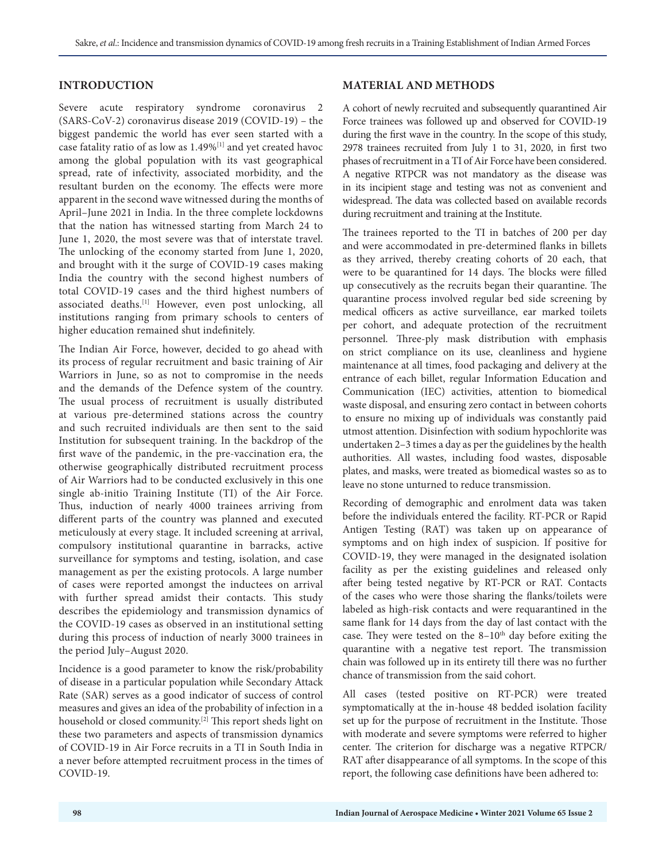## **INTRODUCTION**

Severe acute respiratory syndrome coronavirus 2 (SARS-CoV-2) coronavirus disease 2019 (COVID-19) – the biggest pandemic the world has ever seen started with a case fatality ratio of as low as 1.49%[1] and yet created havoc among the global population with its vast geographical spread, rate of infectivity, associated morbidity, and the resultant burden on the economy. The effects were more apparent in the second wave witnessed during the months of April–June 2021 in India. In the three complete lockdowns that the nation has witnessed starting from March 24 to June 1, 2020, the most severe was that of interstate travel. The unlocking of the economy started from June 1, 2020, and brought with it the surge of COVID-19 cases making India the country with the second highest numbers of total COVID-19 cases and the third highest numbers of associated deaths.[1] However, even post unlocking, all institutions ranging from primary schools to centers of higher education remained shut indefinitely.

The Indian Air Force, however, decided to go ahead with its process of regular recruitment and basic training of Air Warriors in June, so as not to compromise in the needs and the demands of the Defence system of the country. The usual process of recruitment is usually distributed at various pre-determined stations across the country and such recruited individuals are then sent to the said Institution for subsequent training. In the backdrop of the first wave of the pandemic, in the pre-vaccination era, the otherwise geographically distributed recruitment process of Air Warriors had to be conducted exclusively in this one single ab-initio Training Institute (TI) of the Air Force. Thus, induction of nearly 4000 trainees arriving from different parts of the country was planned and executed meticulously at every stage. It included screening at arrival, compulsory institutional quarantine in barracks, active surveillance for symptoms and testing, isolation, and case management as per the existing protocols. A large number of cases were reported amongst the inductees on arrival with further spread amidst their contacts. This study describes the epidemiology and transmission dynamics of the COVID-19 cases as observed in an institutional setting during this process of induction of nearly 3000 trainees in the period July–August 2020.

Incidence is a good parameter to know the risk/probability of disease in a particular population while Secondary Attack Rate (SAR) serves as a good indicator of success of control measures and gives an idea of the probability of infection in a household or closed community.<sup>[2]</sup> This report sheds light on these two parameters and aspects of transmission dynamics of COVID-19 in Air Force recruits in a TI in South India in a never before attempted recruitment process in the times of COVID-19.

#### **MATERIAL AND METHODS**

A cohort of newly recruited and subsequently quarantined Air Force trainees was followed up and observed for COVID-19 during the first wave in the country. In the scope of this study, 2978 trainees recruited from July 1 to 31, 2020, in first two phases of recruitment in a TI of Air Force have been considered. A negative RTPCR was not mandatory as the disease was in its incipient stage and testing was not as convenient and widespread. The data was collected based on available records during recruitment and training at the Institute.

The trainees reported to the TI in batches of 200 per day and were accommodated in pre-determined flanks in billets as they arrived, thereby creating cohorts of 20 each, that were to be quarantined for 14 days. The blocks were filled up consecutively as the recruits began their quarantine. The quarantine process involved regular bed side screening by medical officers as active surveillance, ear marked toilets per cohort, and adequate protection of the recruitment personnel. Three-ply mask distribution with emphasis on strict compliance on its use, cleanliness and hygiene maintenance at all times, food packaging and delivery at the entrance of each billet, regular Information Education and Communication (IEC) activities, attention to biomedical waste disposal, and ensuring zero contact in between cohorts to ensure no mixing up of individuals was constantly paid utmost attention. Disinfection with sodium hypochlorite was undertaken 2–3 times a day as per the guidelines by the health authorities. All wastes, including food wastes, disposable plates, and masks, were treated as biomedical wastes so as to leave no stone unturned to reduce transmission.

Recording of demographic and enrolment data was taken before the individuals entered the facility. RT-PCR or Rapid Antigen Testing (RAT) was taken up on appearance of symptoms and on high index of suspicion. If positive for COVID-19, they were managed in the designated isolation facility as per the existing guidelines and released only after being tested negative by RT-PCR or RAT. Contacts of the cases who were those sharing the flanks/toilets were labeled as high-risk contacts and were requarantined in the same flank for 14 days from the day of last contact with the case. They were tested on the  $8-10<sup>th</sup>$  day before exiting the quarantine with a negative test report. The transmission chain was followed up in its entirety till there was no further chance of transmission from the said cohort.

All cases (tested positive on RT-PCR) were treated symptomatically at the in-house 48 bedded isolation facility set up for the purpose of recruitment in the Institute. Those with moderate and severe symptoms were referred to higher center. The criterion for discharge was a negative RTPCR/ RAT after disappearance of all symptoms. In the scope of this report, the following case definitions have been adhered to: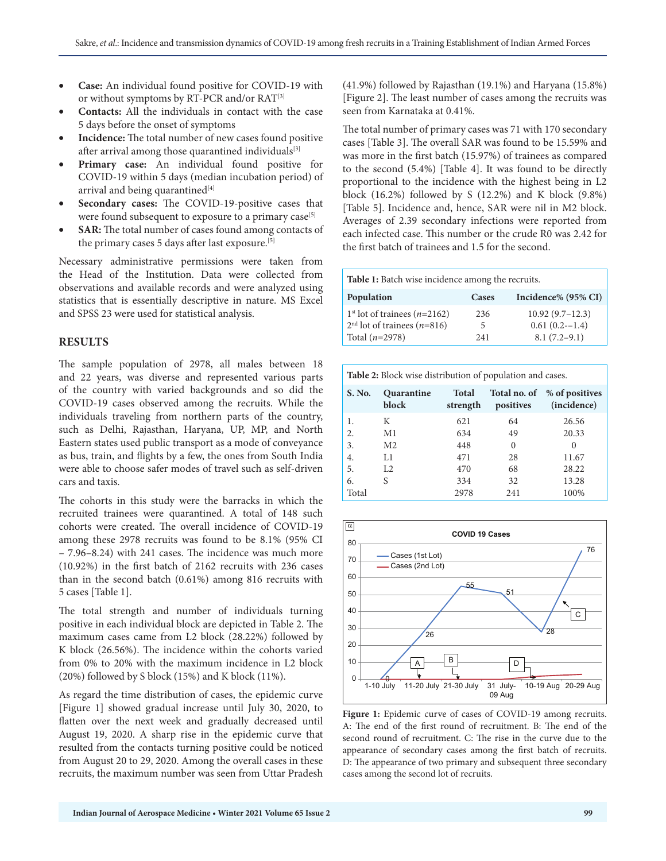- **Case:** An individual found positive for COVID-19 with or without symptoms by RT-PCR and/or RAT<sup>[3]</sup>
- **Contacts:** All the individuals in contact with the case 5 days before the onset of symptoms
- **Incidence:** The total number of new cases found positive after arrival among those quarantined individuals<sup>[3]</sup>
- **Primary case:** An individual found positive for COVID-19 within 5 days (median incubation period) of arrival and being quarantined<sup>[4]</sup>
- **Secondary cases:** The COVID-19-positive cases that were found subsequent to exposure to a primary case<sup>[5]</sup>
- **SAR:** The total number of cases found among contacts of the primary cases 5 days after last exposure.[5]

Necessary administrative permissions were taken from the Head of the Institution. Data were collected from observations and available records and were analyzed using statistics that is essentially descriptive in nature. MS Excel and SPSS 23 were used for statistical analysis.

# **RESULTS**

The sample population of 2978, all males between 18 and 22 years, was diverse and represented various parts of the country with varied backgrounds and so did the COVID-19 cases observed among the recruits. While the individuals traveling from northern parts of the country, such as Delhi, Rajasthan, Haryana, UP, MP, and North Eastern states used public transport as a mode of conveyance as bus, train, and flights by a few, the ones from South India were able to choose safer modes of travel such as self-driven cars and taxis.

The cohorts in this study were the barracks in which the recruited trainees were quarantined. A total of 148 such cohorts were created. The overall incidence of COVID-19 among these 2978 recruits was found to be 8.1% (95% CI – 7.96–8.24) with 241 cases. The incidence was much more (10.92%) in the first batch of 2162 recruits with 236 cases than in the second batch (0.61%) among 816 recruits with 5 cases [Table 1].

The total strength and number of individuals turning positive in each individual block are depicted in Table 2. The maximum cases came from L2 block (28.22%) followed by K block (26.56%). The incidence within the cohorts varied from 0% to 20% with the maximum incidence in L2 block (20%) followed by S block (15%) and K block (11%).

As regard the time distribution of cases, the epidemic curve [Figure 1] showed gradual increase until July 30, 2020, to flatten over the next week and gradually decreased until August 19, 2020. A sharp rise in the epidemic curve that resulted from the contacts turning positive could be noticed from August 20 to 29, 2020. Among the overall cases in these recruits, the maximum number was seen from Uttar Pradesh

(41.9%) followed by Rajasthan (19.1%) and Haryana (15.8%) [Figure 2]. The least number of cases among the recruits was seen from Karnataka at 0.41%.

The total number of primary cases was 71 with 170 secondary cases [Table 3]. The overall SAR was found to be 15.59% and was more in the first batch (15.97%) of trainees as compared to the second (5.4%) [Table 4]. It was found to be directly proportional to the incidence with the highest being in L2 block (16.2%) followed by S (12.2%) and K block (9.8%) [Table 5]. Incidence and, hence, SAR were nil in M2 block. Averages of 2.39 secondary infections were reported from each infected case. This number or the crude R0 was 2.42 for the first batch of trainees and 1.5 for the second.

**Table 1:** Batch wise incidence among the recruits.

| Population                              | Cases | Incidence% (95% CI) |
|-----------------------------------------|-------|---------------------|
| $1st$ lot of trainees ( <i>n</i> =2162) | 236   | $10.92(9.7-12.3)$   |
| $2nd$ lot of trainees ( <i>n</i> =816)  | 5.    | $0.61(0.2 - 1.4)$   |
| Total $(n=2978)$                        | 241   | $8.1(7.2-9.1)$      |

| <b>Table 2:</b> Block wise distribution of population and cases. |                     |                          |                           |                               |  |  |
|------------------------------------------------------------------|---------------------|--------------------------|---------------------------|-------------------------------|--|--|
| S. No.                                                           | Quarantine<br>block | <b>Total</b><br>strength | Total no. of<br>positives | % of positives<br>(incidence) |  |  |
| 1.                                                               | К                   | 621                      | 64                        | 26.56                         |  |  |
| 2.                                                               | M <sub>1</sub>      | 634                      | 49                        | 20.33                         |  |  |
| 3.                                                               | M <sub>2</sub>      | 448                      | $\theta$                  | 0                             |  |  |
| 4.                                                               | L1                  | 471                      | 28                        | 11.67                         |  |  |
| 5.                                                               | L <sub>2</sub>      | 470                      | 68                        | 28.22                         |  |  |
| 6.                                                               | S                   | 334                      | 32                        | 13.28                         |  |  |
| Total                                                            |                     | 2978                     | 241                       | 100%                          |  |  |



Figure 1: Epidemic curve of cases of COVID-19 among recruits. A: The end of the first round of recruitment. B: The end of the second round of recruitment. C: The rise in the curve due to the appearance of secondary cases among the first batch of recruits. D: The appearance of two primary and subsequent three secondary cases among the second lot of recruits.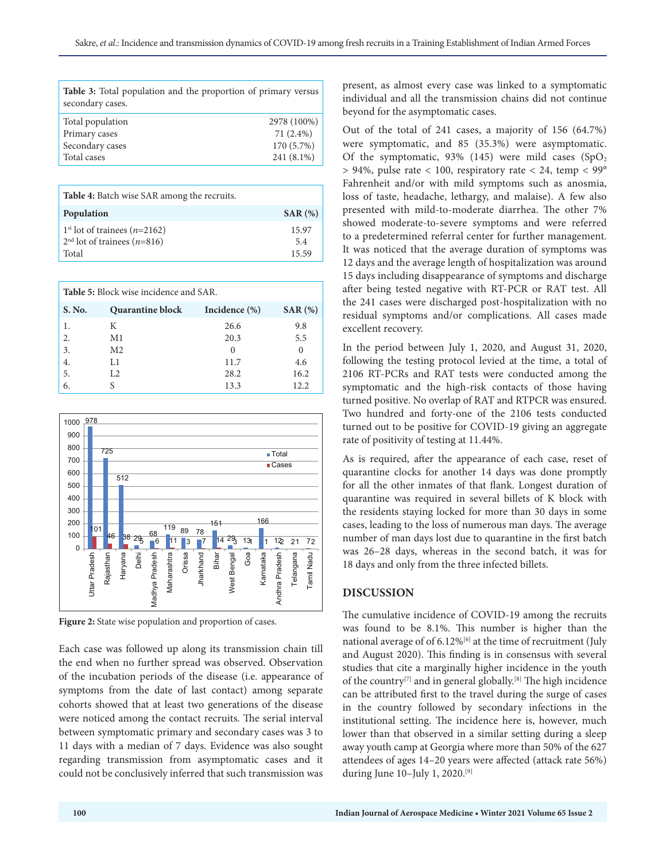| <b>Table 3:</b> Total population and the proportion of primary versus<br>secondary cases. |              |
|-------------------------------------------------------------------------------------------|--------------|
| Total population                                                                          | 2978 (100%)  |
| Primary cases                                                                             | 71 $(2.4\%)$ |
| Secondary cases                                                                           | 170 (5.7%)   |
| Total cases                                                                               | 241 (8.1%)   |

| <b>Table 4:</b> Batch wise SAR among the recruits.                                |              |
|-----------------------------------------------------------------------------------|--------------|
| Population                                                                        | SAR(%)       |
| $1st$ lot of trainees ( <i>n</i> =2162)<br>$2nd$ lot of trainees ( <i>n</i> =816) | 15.97<br>5.4 |
| Total                                                                             | 15.59        |

| <b>Table 5:</b> Block wise incidence and SAR. |                         |                  |          |  |  |
|-----------------------------------------------|-------------------------|------------------|----------|--|--|
| S. No.                                        | <b>Quarantine block</b> | Incidence $(\%)$ | SAR(%)   |  |  |
| 1.                                            | К                       | 26.6             | 9.8      |  |  |
| 2.                                            | M1                      | 20.3             | 5.5      |  |  |
| 3.                                            | M <sub>2</sub>          | $\Omega$         | $\Omega$ |  |  |
| 4.                                            | L1                      | 11.7             | 4.6      |  |  |
| 5.                                            | L <sub>2</sub>          | 28.2             | 16.2     |  |  |
| 6.                                            |                         | 13.3             | 12.2     |  |  |



**Figure 2:** State wise population and proportion of cases.

Each case was followed up along its transmission chain till the end when no further spread was observed. Observation of the incubation periods of the disease (i.e. appearance of symptoms from the date of last contact) among separate cohorts showed that at least two generations of the disease were noticed among the contact recruits. The serial interval between symptomatic primary and secondary cases was 3 to 11 days with a median of 7 days. Evidence was also sought regarding transmission from asymptomatic cases and it could not be conclusively inferred that such transmission was

present, as almost every case was linked to a symptomatic individual and all the transmission chains did not continue beyond for the asymptomatic cases.

Out of the total of 241 cases, a majority of 156 (64.7%) were symptomatic, and 85 (35.3%) were asymptomatic. Of the symptomatic, 93% (145) were mild cases  $(SpO<sub>2</sub>)$ > 94%, pulse rate < 100, respiratory rate < 24, temp < 99° Fahrenheit and/or with mild symptoms such as anosmia, loss of taste, headache, lethargy, and malaise). A few also presented with mild-to-moderate diarrhea. The other 7% showed moderate-to-severe symptoms and were referred to a predetermined referral center for further management. It was noticed that the average duration of symptoms was 12 days and the average length of hospitalization was around 15 days including disappearance of symptoms and discharge after being tested negative with RT-PCR or RAT test. All the 241 cases were discharged post-hospitalization with no residual symptoms and/or complications. All cases made excellent recovery.

In the period between July 1, 2020, and August 31, 2020, following the testing protocol levied at the time, a total of 2106 RT-PCRs and RAT tests were conducted among the symptomatic and the high-risk contacts of those having turned positive. No overlap of RAT and RTPCR was ensured. Two hundred and forty-one of the 2106 tests conducted turned out to be positive for COVID-19 giving an aggregate rate of positivity of testing at 11.44%.

As is required, after the appearance of each case, reset of quarantine clocks for another 14 days was done promptly for all the other inmates of that flank. Longest duration of quarantine was required in several billets of K block with the residents staying locked for more than 30 days in some cases, leading to the loss of numerous man days. The average number of man days lost due to quarantine in the first batch was 26–28 days, whereas in the second batch, it was for 18 days and only from the three infected billets.

# **DISCUSSION**

The cumulative incidence of COVID-19 among the recruits was found to be 8.1%. This number is higher than the national average of of  $6.12\%$ <sup>[6]</sup> at the time of recruitment (July and August 2020). This finding is in consensus with several studies that cite a marginally higher incidence in the youth of the country<sup>[7]</sup> and in general globally.<sup>[8]</sup> The high incidence can be attributed first to the travel during the surge of cases in the country followed by secondary infections in the institutional setting. The incidence here is, however, much lower than that observed in a similar setting during a sleep away youth camp at Georgia where more than 50% of the 627 attendees of ages 14–20 years were affected (attack rate 56%) during June 10–July 1, 2020.[9]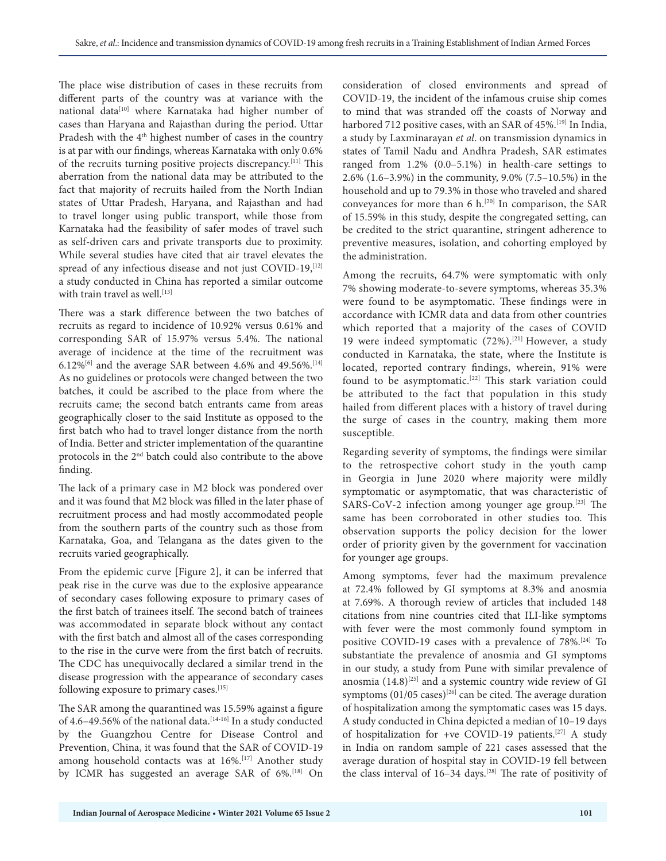The place wise distribution of cases in these recruits from different parts of the country was at variance with the national data<sup>[10]</sup> where Karnataka had higher number of cases than Haryana and Rajasthan during the period. Uttar Pradesh with the 4<sup>th</sup> highest number of cases in the country is at par with our findings, whereas Karnataka with only 0.6% of the recruits turning positive projects discrepancy.[11] This aberration from the national data may be attributed to the fact that majority of recruits hailed from the North Indian states of Uttar Pradesh, Haryana, and Rajasthan and had to travel longer using public transport, while those from Karnataka had the feasibility of safer modes of travel such as self-driven cars and private transports due to proximity. While several studies have cited that air travel elevates the spread of any infectious disease and not just COVID-19, [12] a study conducted in China has reported a similar outcome with train travel as well.<sup>[13]</sup>

There was a stark difference between the two batches of recruits as regard to incidence of 10.92% versus 0.61% and corresponding SAR of 15.97% versus 5.4%. The national average of incidence at the time of the recruitment was 6.12%<sup>[6]</sup> and the average SAR between 4.6% and 49.56%.<sup>[14]</sup> As no guidelines or protocols were changed between the two batches, it could be ascribed to the place from where the recruits came; the second batch entrants came from areas geographically closer to the said Institute as opposed to the first batch who had to travel longer distance from the north of India. Better and stricter implementation of the quarantine protocols in the 2nd batch could also contribute to the above finding.

The lack of a primary case in M2 block was pondered over and it was found that M2 block was filled in the later phase of recruitment process and had mostly accommodated people from the southern parts of the country such as those from Karnataka, Goa, and Telangana as the dates given to the recruits varied geographically.

From the epidemic curve [Figure 2], it can be inferred that peak rise in the curve was due to the explosive appearance of secondary cases following exposure to primary cases of the first batch of trainees itself. The second batch of trainees was accommodated in separate block without any contact with the first batch and almost all of the cases corresponding to the rise in the curve were from the first batch of recruits. The CDC has unequivocally declared a similar trend in the disease progression with the appearance of secondary cases following exposure to primary cases.<sup>[15]</sup>

The SAR among the quarantined was 15.59% against a figure of 4.6-49.56% of the national data.<sup>[14-16]</sup> In a study conducted by the Guangzhou Centre for Disease Control and Prevention, China, it was found that the SAR of COVID-19 among household contacts was at 16%.<sup>[17]</sup> Another study by ICMR has suggested an average SAR of 6%.<sup>[18]</sup> On

consideration of closed environments and spread of COVID-19, the incident of the infamous cruise ship comes to mind that was stranded off the coasts of Norway and harbored 712 positive cases, with an SAR of 45%.<sup>[19]</sup> In India, a study by Laxminarayan *et al*. on transmission dynamics in states of Tamil Nadu and Andhra Pradesh, SAR estimates ranged from 1.2% (0.0–5.1%) in health-care settings to 2.6% (1.6–3.9%) in the community, 9.0% (7.5–10.5%) in the household and up to 79.3% in those who traveled and shared conveyances for more than 6 h.[20] In comparison, the SAR of 15.59% in this study, despite the congregated setting, can be credited to the strict quarantine, stringent adherence to preventive measures, isolation, and cohorting employed by the administration.

Among the recruits, 64.7% were symptomatic with only 7% showing moderate-to-severe symptoms, whereas 35.3% were found to be asymptomatic. These findings were in accordance with ICMR data and data from other countries which reported that a majority of the cases of COVID 19 were indeed symptomatic (72%).<sup>[21]</sup> However, a study conducted in Karnataka, the state, where the Institute is located, reported contrary findings, wherein, 91% were found to be asymptomatic.<sup>[22]</sup> This stark variation could be attributed to the fact that population in this study hailed from different places with a history of travel during the surge of cases in the country, making them more susceptible.

Regarding severity of symptoms, the findings were similar to the retrospective cohort study in the youth camp in Georgia in June 2020 where majority were mildly symptomatic or asymptomatic, that was characteristic of SARS-CoV-2 infection among younger age group.[23] The same has been corroborated in other studies too. This observation supports the policy decision for the lower order of priority given by the government for vaccination for younger age groups.

Among symptoms, fever had the maximum prevalence at 72.4% followed by GI symptoms at 8.3% and anosmia at 7.69%. A thorough review of articles that included 148 citations from nine countries cited that ILI-like symptoms with fever were the most commonly found symptom in positive COVID-19 cases with a prevalence of 78%.[24] To substantiate the prevalence of anosmia and GI symptoms in our study, a study from Pune with similar prevalence of anosmia  $(14.8)^{[25]}$  and a systemic country wide review of GI symptoms (01/05 cases)<sup>[26]</sup> can be cited. The average duration of hospitalization among the symptomatic cases was 15 days. A study conducted in China depicted a median of 10–19 days of hospitalization for +ve COVID-19 patients.[27] A study in India on random sample of 221 cases assessed that the average duration of hospital stay in COVID-19 fell between the class interval of 16-34 days.<sup>[28]</sup> The rate of positivity of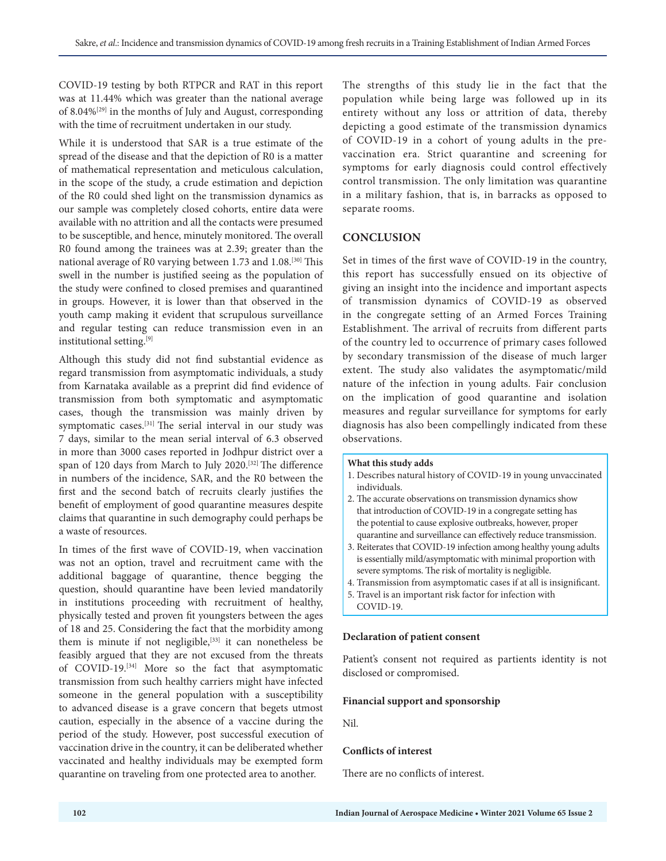COVID-19 testing by both RTPCR and RAT in this report was at 11.44% which was greater than the national average of  $8.04\%^{[29]}$  in the months of July and August, corresponding with the time of recruitment undertaken in our study.

While it is understood that SAR is a true estimate of the spread of the disease and that the depiction of R0 is a matter of mathematical representation and meticulous calculation, in the scope of the study, a crude estimation and depiction of the R0 could shed light on the transmission dynamics as our sample was completely closed cohorts, entire data were available with no attrition and all the contacts were presumed to be susceptible, and hence, minutely monitored. The overall R0 found among the trainees was at 2.39; greater than the national average of R0 varying between 1.73 and 1.08.[30] This swell in the number is justified seeing as the population of the study were confined to closed premises and quarantined in groups. However, it is lower than that observed in the youth camp making it evident that scrupulous surveillance and regular testing can reduce transmission even in an institutional setting.[9]

Although this study did not find substantial evidence as regard transmission from asymptomatic individuals, a study from Karnataka available as a preprint did find evidence of transmission from both symptomatic and asymptomatic cases, though the transmission was mainly driven by symptomatic cases.[31] The serial interval in our study was 7 days, similar to the mean serial interval of 6.3 observed in more than 3000 cases reported in Jodhpur district over a span of 120 days from March to July 2020.[32] The difference in numbers of the incidence, SAR, and the R0 between the first and the second batch of recruits clearly justifies the benefit of employment of good quarantine measures despite claims that quarantine in such demography could perhaps be a waste of resources.

In times of the first wave of COVID-19, when vaccination was not an option, travel and recruitment came with the additional baggage of quarantine, thence begging the question, should quarantine have been levied mandatorily in institutions proceeding with recruitment of healthy, physically tested and proven fit youngsters between the ages of 18 and 25. Considering the fact that the morbidity among them is minute if not negligible,<sup>[33]</sup> it can nonetheless be feasibly argued that they are not excused from the threats of COVID-19.[34] More so the fact that asymptomatic transmission from such healthy carriers might have infected someone in the general population with a susceptibility to advanced disease is a grave concern that begets utmost caution, especially in the absence of a vaccine during the period of the study. However, post successful execution of vaccination drive in the country, it can be deliberated whether vaccinated and healthy individuals may be exempted form quarantine on traveling from one protected area to another.

The strengths of this study lie in the fact that the population while being large was followed up in its entirety without any loss or attrition of data, thereby depicting a good estimate of the transmission dynamics of COVID-19 in a cohort of young adults in the prevaccination era. Strict quarantine and screening for symptoms for early diagnosis could control effectively control transmission. The only limitation was quarantine in a military fashion, that is, in barracks as opposed to separate rooms.

# **CONCLUSION**

Set in times of the first wave of COVID-19 in the country, this report has successfully ensued on its objective of giving an insight into the incidence and important aspects of transmission dynamics of COVID-19 as observed in the congregate setting of an Armed Forces Training Establishment. The arrival of recruits from different parts of the country led to occurrence of primary cases followed by secondary transmission of the disease of much larger extent. The study also validates the asymptomatic/mild nature of the infection in young adults. Fair conclusion on the implication of good quarantine and isolation measures and regular surveillance for symptoms for early diagnosis has also been compellingly indicated from these observations.

#### **What this study adds**

- 1. Describes natural history of COVID-19 in young unvaccinated individuals.
- 2. The accurate observations on transmission dynamics show that introduction of COVID-19 in a congregate setting has the potential to cause explosive outbreaks, however, proper quarantine and surveillance can effectively reduce transmission.
- 3. Reiterates that COVID-19 infection among healthy young adults is essentially mild/asymptomatic with minimal proportion with severe symptoms. The risk of mortality is negligible.
- 4. Transmission from asymptomatic cases if at all is insignificant.
- 5. Travel is an important risk factor for infection with COVID-19.

#### **Declaration of patient consent**

Patient's consent not required as partients identity is not disclosed or compromised.

### **Financial support and sponsorship**

Nil.

### **Conflicts of interest**

There are no conflicts of interest.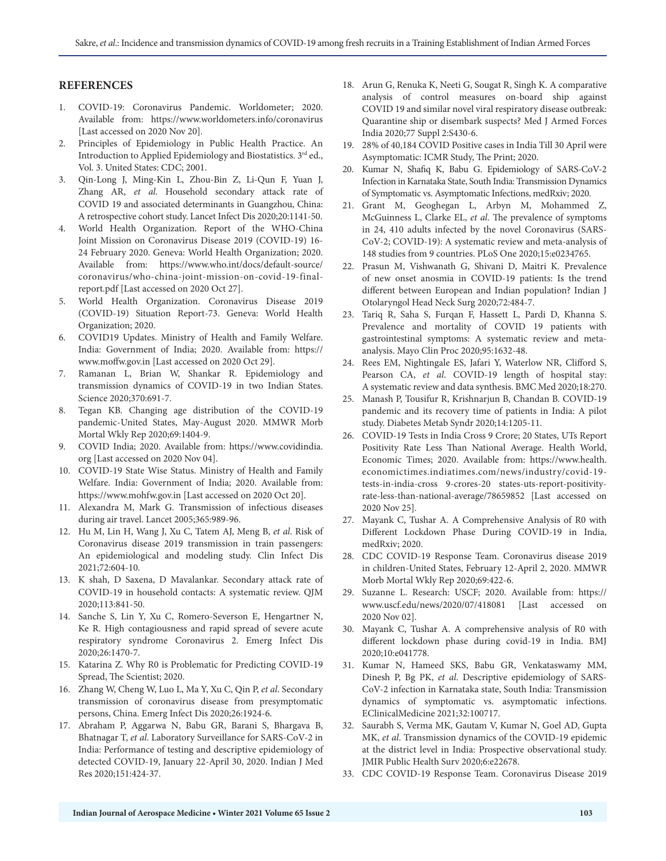# **REFERENCES**

- 1. COVID-19: Coronavirus Pandemic. Worldometer; 2020. Available from: https://www.worldometers.info/coronavirus [Last accessed on 2020 Nov 20].
- 2. Principles of Epidemiology in Public Health Practice. An Introduction to Applied Epidemiology and Biostatistics.  $3^{\rm rd}$ ed., Vol. 3. United States: CDC; 2001.
- 3. Qin-Long J, Ming-Kin L, Zhou-Bin Z, Li-Qun F, Yuan J, Zhang AR, *et al*. Household secondary attack rate of COVID 19 and associated determinants in Guangzhou, China: A retrospective cohort study. Lancet Infect Dis 2020;20:1141-50.
- 4. World Health Organization. Report of the WHO-China Joint Mission on Coronavirus Disease 2019 (COVID-19) 16- 24 February 2020. Geneva: World Health Organization; 2020. Available from: https://www.who.int/docs/default-source/ coronavirus/who-china-joint-mission-on-covid-19-finalreport.pdf [Last accessed on 2020 Oct 27].
- 5. World Health Organization. Coronavirus Disease 2019 (COVID-19) Situation Report-73. Geneva: World Health Organization; 2020.
- 6. COVID19 Updates. Ministry of Health and Family Welfare. India: Government of India; 2020. Available from: https:// www.moffw.gov.in [Last accessed on 2020 Oct 29].
- 7. Ramanan L, Brian W, Shankar R. Epidemiology and transmission dynamics of COVID-19 in two Indian States. Science 2020;370:691-7.
- 8. Tegan KB. Changing age distribution of the COVID-19 pandemic-United States, May-August 2020. MMWR Morb Mortal Wkly Rep 2020;69:1404-9.
- 9. COVID India; 2020. Available from: https://www.covidindia. org [Last accessed on 2020 Nov 04].
- 10. COVID-19 State Wise Status. Ministry of Health and Family Welfare. India: Government of India; 2020. Available from: https://www.mohfw.gov.in [Last accessed on 2020 Oct 20].
- 11. Alexandra M, Mark G. Transmission of infectious diseases during air travel. Lancet 2005;365:989-96.
- 12. Hu M, Lin H, Wang J, Xu C, Tatem AJ, Meng B, *et al*. Risk of Coronavirus disease 2019 transmission in train passengers: An epidemiological and modeling study. Clin Infect Dis 2021;72:604-10.
- 13. K shah, D Saxena, D Mavalankar. Secondary attack rate of COVID-19 in household contacts: A systematic review. QJM 2020;113:841-50.
- 14. Sanche S, Lin Y, Xu C, Romero-Severson E, Hengartner N, Ke R. High contagiousness and rapid spread of severe acute respiratory syndrome Coronavirus 2. Emerg Infect Dis 2020;26:1470-7.
- 15. Katarina Z. Why R0 is Problematic for Predicting COVID-19 Spread, The Scientist; 2020.
- 16. Zhang W, Cheng W, Luo L, Ma Y, Xu C, Qin P, *et al*. Secondary transmission of coronavirus disease from presymptomatic persons, China. Emerg Infect Dis 2020;26:1924-6.
- 17. Abraham P, Aggarwa N, Babu GR, Barani S, Bhargava B, Bhatnagar T, *et al*. Laboratory Surveillance for SARS-CoV-2 in India: Performance of testing and descriptive epidemiology of detected COVID-19, January 22-April 30, 2020. Indian J Med Res 2020;151:424-37.
- 18. Arun G, Renuka K, Neeti G, Sougat R, Singh K. A comparative analysis of control measures on-board ship against COVID 19 and similar novel viral respiratory disease outbreak: Quarantine ship or disembark suspects? Med J Armed Forces India 2020;77 Suppl 2:S430-6.
- 19. 28% of 40,184 COVID Positive cases in India Till 30 April were Asymptomatic: ICMR Study, The Print; 2020.
- 20. Kumar N, Shafiq K, Babu G. Epidemiology of SARS-CoV-2 Infection in Karnataka State, South India: Transmission Dynamics of Symptomatic vs. Asymptomatic Infections, medRxiv; 2020.
- 21. Grant M, Geoghegan L, Arbyn M, Mohammed Z, McGuinness L, Clarke EL, *et al*. The prevalence of symptoms in 24, 410 adults infected by the novel Coronavirus (SARS-CoV-2; COVID-19): A systematic review and meta-analysis of 148 studies from 9 countries. PLoS One 2020;15:e0234765.
- 22. Prasun M, Vishwanath G, Shivani D, Maitri K. Prevalence of new onset anosmia in COVID-19 patients: Is the trend different between European and Indian population? Indian J Otolaryngol Head Neck Surg 2020;72:484-7.
- 23. Tariq R, Saha S, Furqan F, Hassett L, Pardi D, Khanna S. Prevalence and mortality of COVID 19 patients with gastrointestinal symptoms: A systematic review and metaanalysis. Mayo Clin Proc 2020;95:1632-48.
- 24. Rees EM, Nightingale ES, Jafari Y, Waterlow NR, Clifford S, Pearson CA, *et al*. COVID-19 length of hospital stay: A systematic review and data synthesis. BMC Med 2020;18:270.
- 25. Manash P, Tousifur R, Krishnarjun B, Chandan B. COVID-19 pandemic and its recovery time of patients in India: A pilot study. Diabetes Metab Syndr 2020;14:1205-11.
- 26. COVID-19 Tests in India Cross 9 Crore; 20 States, UTs Report Positivity Rate Less Than National Average. Health World, Economic Times; 2020. Available from: https://www.health. economictimes.indiatimes.com/news/industry/covid-19 tests-in-india-cross 9-crores-20 states-uts-report-positivityrate-less-than-national-average/78659852 [Last accessed on 2020 Nov 25].
- 27. Mayank C, Tushar A. A Comprehensive Analysis of R0 with Different Lockdown Phase During COVID-19 in India, medRxiv; 2020.
- 28. CDC COVID-19 Response Team. Coronavirus disease 2019 in children-United States, February 12-April 2, 2020. MMWR Morb Mortal Wkly Rep 2020;69:422-6.
- 29. Suzanne L. Research: USCF; 2020. Available from: https:// www.uscf.edu/news/2020/07/418081 [Last accessed on 2020 Nov 02].
- 30. Mayank C, Tushar A. A comprehensive analysis of R0 with different lockdown phase during covid-19 in India. BMJ 2020;10:e041778.
- 31. Kumar N, Hameed SKS, Babu GR, Venkataswamy MM, Dinesh P, Bg PK, *et al*. Descriptive epidemiology of SARS-CoV-2 infection in Karnataka state, South India: Transmission dynamics of symptomatic vs. asymptomatic infections. EClinicalMedicine 2021;32:100717.
- 32. Saurabh S, Verma MK, Gautam V, Kumar N, Goel AD, Gupta MK, *et al*. Transmission dynamics of the COVID-19 epidemic at the district level in India: Prospective observational study. JMIR Public Health Surv 2020;6:e22678.
- 33. CDC COVID-19 Response Team. Coronavirus Disease 2019